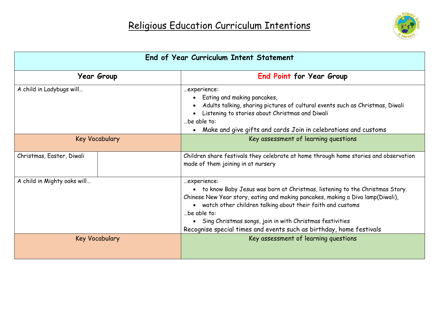

| End of Year Curriculum Intent Statement |                                                                                                                                                                                                                                                                                                                                                                                                     |  |
|-----------------------------------------|-----------------------------------------------------------------------------------------------------------------------------------------------------------------------------------------------------------------------------------------------------------------------------------------------------------------------------------------------------------------------------------------------------|--|
| <b>Year Group</b>                       | <b>End Point for Year Group</b>                                                                                                                                                                                                                                                                                                                                                                     |  |
| A child in Ladybugs will                | experience:<br>Eating and making pancakes,<br>Adults talking, sharing pictures of cultural events such as Christmas, Diwali<br>Listening to stories about Christmas and Diwali<br>be able to:<br>Make and give gifts and cards Join in celebrations and customs<br>$\bullet$                                                                                                                        |  |
| <b>Key Vocabulary</b>                   | Key assessment of learning questions                                                                                                                                                                                                                                                                                                                                                                |  |
| Christmas, Easter, Diwali               | Children share festivals they celebrate at home through home stories and observation<br>made of them joining in at nursery                                                                                                                                                                                                                                                                          |  |
| A child in Mighty oaks will             | experience:<br>• to know Baby Jesus was born at Christmas, listening to the Christmas Story.<br>Chinese New Year story, eating and making pancakes, making a Diva lamp(Diwali),<br>• watch other children talking about their faith and customs<br>be able to:<br>• Sing Christmas songs, join in with Christmas festivities<br>Recognise special times and events such as birthday, home festivals |  |
| <b>Key Vocabulary</b>                   | Key assessment of learning questions                                                                                                                                                                                                                                                                                                                                                                |  |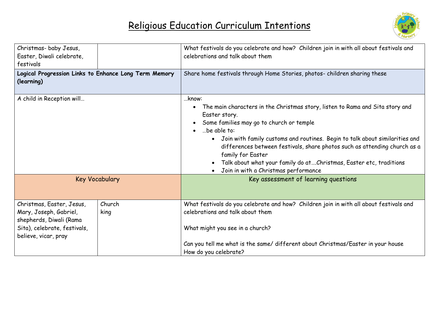

| Christmas-baby Jesus,<br>Easter, Diwali celebrate,<br>festivals                                                                        |                | What festivals do you celebrate and how? Children join in with all about festivals and<br>celebrations and talk about them                                                                                                                                                                                                                                                                                                                                                      |  |
|----------------------------------------------------------------------------------------------------------------------------------------|----------------|---------------------------------------------------------------------------------------------------------------------------------------------------------------------------------------------------------------------------------------------------------------------------------------------------------------------------------------------------------------------------------------------------------------------------------------------------------------------------------|--|
| Logical Progression Links to Enhance Long Term Memory<br>(learning)                                                                    |                | Share home festivals through Home Stories, photos- children sharing these                                                                                                                                                                                                                                                                                                                                                                                                       |  |
| A child in Reception will                                                                                                              |                | know:<br>The main characters in the Christmas story, listen to Rama and Sita story and<br>Easter story.<br>Some families may go to church or temple<br>be able to:<br>Join with family customs and routines. Begin to talk about similarities and<br>$\bullet$<br>differences between festivals, share photos such as attending church as a<br>family for Easter<br>Talk about what your family do at Christmas, Easter etc, traditions<br>Join in with a Christmas performance |  |
| <b>Key Vocabulary</b>                                                                                                                  |                | Key assessment of learning questions                                                                                                                                                                                                                                                                                                                                                                                                                                            |  |
| Christmas, Easter, Jesus,<br>Mary, Joseph, Gabriel,<br>shepherds, Diwali (Rama<br>Sita), celebrate, festivals,<br>believe, vicar, pray | Church<br>king | What festivals do you celebrate and how? Children join in with all about festivals and<br>celebrations and talk about them<br>What might you see in a church?                                                                                                                                                                                                                                                                                                                   |  |
|                                                                                                                                        |                | Can you tell me what is the same/ different about Christmas/Easter in your house<br>How do you celebrate?                                                                                                                                                                                                                                                                                                                                                                       |  |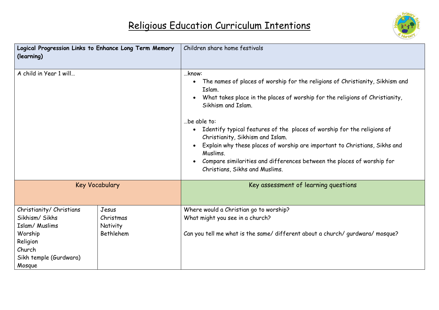

| Logical Progression Links to Enhance Long Term Memory<br>(learning)                                                               |                                             | Children share home festivals                                                                                                                                                                                                                                                                                                                                                                                                                                                                                                                                                     |
|-----------------------------------------------------------------------------------------------------------------------------------|---------------------------------------------|-----------------------------------------------------------------------------------------------------------------------------------------------------------------------------------------------------------------------------------------------------------------------------------------------------------------------------------------------------------------------------------------------------------------------------------------------------------------------------------------------------------------------------------------------------------------------------------|
| A child in Year 1 will                                                                                                            |                                             | know:<br>The names of places of worship for the religions of Christianity, Sikhism and<br>Islam.<br>What takes place in the places of worship for the religions of Christianity,<br>$\bullet$<br>Sikhism and Islam.<br>be able to:<br>Identify typical features of the places of worship for the religions of<br>$\bullet$<br>Christianity, Sikhism and Islam.<br>Explain why these places of worship are important to Christians, Sikhs and<br>$\bullet$<br>Muslims.<br>Compare similarities and differences between the places of worship for<br>Christians, Sikhs and Muslims. |
| <b>Key Vocabulary</b>                                                                                                             |                                             | Key assessment of learning questions                                                                                                                                                                                                                                                                                                                                                                                                                                                                                                                                              |
| Christianity/ Christians<br>Sikhism/ Sikhs<br>Islam/ Muslims<br>Worship<br>Religion<br>Church<br>Sikh temple (Gurdwara)<br>Mosque | Jesus<br>Christmas<br>Nativity<br>Bethlehem | Where would a Christian go to worship?<br>What might you see in a church?<br>Can you tell me what is the same/ different about a church/ gurdwara/ mosque?                                                                                                                                                                                                                                                                                                                                                                                                                        |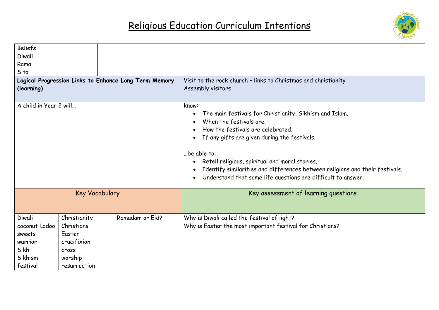

| <b>Beliefs</b><br>Diwali                                            |                       |                 |                                                                                                                                                                                                                                                                                                                                                                                                                             |  |
|---------------------------------------------------------------------|-----------------------|-----------------|-----------------------------------------------------------------------------------------------------------------------------------------------------------------------------------------------------------------------------------------------------------------------------------------------------------------------------------------------------------------------------------------------------------------------------|--|
| Rama                                                                |                       |                 |                                                                                                                                                                                                                                                                                                                                                                                                                             |  |
| Sita                                                                |                       |                 |                                                                                                                                                                                                                                                                                                                                                                                                                             |  |
| Logical Progression Links to Enhance Long Term Memory<br>(learning) |                       |                 | Visit to the rock church - links to Christmas and christianity<br>Assembly visitors                                                                                                                                                                                                                                                                                                                                         |  |
| A child in Year 2 will                                              |                       |                 | know:<br>The main festivals for Christianity, Sikhism and Islam.<br>When the festivals are.<br>How the festivals are celebrated.<br>If any gifts are given during the festivals.<br>be able to:<br>Retell religious, spiritual and moral stories.<br>$\bullet$<br>Identify similarities and differences between religions and their festivals.<br>Understand that some life questions are difficult to answer.<br>$\bullet$ |  |
|                                                                     | <b>Key Vocabulary</b> |                 | Key assessment of learning questions                                                                                                                                                                                                                                                                                                                                                                                        |  |
| Diwali                                                              | Christianity          | Ramadam or Eid? | Why is Diwali called the festival of light?                                                                                                                                                                                                                                                                                                                                                                                 |  |
| coconut Ladoo                                                       | Christians            |                 | Why is Easter the most important festival for Christians?                                                                                                                                                                                                                                                                                                                                                                   |  |
| sweets                                                              | Easter                |                 |                                                                                                                                                                                                                                                                                                                                                                                                                             |  |
| warrior                                                             | crucifixion           |                 |                                                                                                                                                                                                                                                                                                                                                                                                                             |  |
| Sikh                                                                | cross                 |                 |                                                                                                                                                                                                                                                                                                                                                                                                                             |  |
| Sikhism                                                             | worship               |                 |                                                                                                                                                                                                                                                                                                                                                                                                                             |  |
| festival                                                            | resurrection          |                 |                                                                                                                                                                                                                                                                                                                                                                                                                             |  |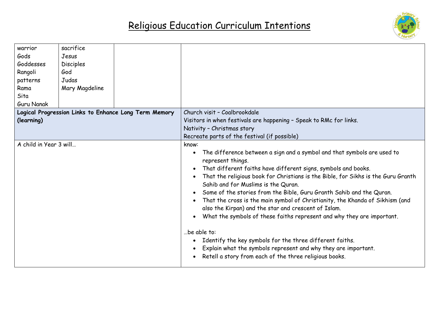

| warrior                | sacrifice        |                                                       |                                                                                                                                                                                                                                                                                                                                                                                                                                                                                                                                                                                                                                                                                                                                                                                                           |
|------------------------|------------------|-------------------------------------------------------|-----------------------------------------------------------------------------------------------------------------------------------------------------------------------------------------------------------------------------------------------------------------------------------------------------------------------------------------------------------------------------------------------------------------------------------------------------------------------------------------------------------------------------------------------------------------------------------------------------------------------------------------------------------------------------------------------------------------------------------------------------------------------------------------------------------|
| Gods                   | Jesus            |                                                       |                                                                                                                                                                                                                                                                                                                                                                                                                                                                                                                                                                                                                                                                                                                                                                                                           |
| Goddesses              | <b>Disciples</b> |                                                       |                                                                                                                                                                                                                                                                                                                                                                                                                                                                                                                                                                                                                                                                                                                                                                                                           |
| Rangoli                | God              |                                                       |                                                                                                                                                                                                                                                                                                                                                                                                                                                                                                                                                                                                                                                                                                                                                                                                           |
| patterns               | Judas            |                                                       |                                                                                                                                                                                                                                                                                                                                                                                                                                                                                                                                                                                                                                                                                                                                                                                                           |
| Rama                   | Mary Magdeline   |                                                       |                                                                                                                                                                                                                                                                                                                                                                                                                                                                                                                                                                                                                                                                                                                                                                                                           |
| Sita                   |                  |                                                       |                                                                                                                                                                                                                                                                                                                                                                                                                                                                                                                                                                                                                                                                                                                                                                                                           |
| <b>Guru Nanak</b>      |                  |                                                       |                                                                                                                                                                                                                                                                                                                                                                                                                                                                                                                                                                                                                                                                                                                                                                                                           |
|                        |                  | Logical Progression Links to Enhance Long Term Memory | Church visit - Coalbrookdale                                                                                                                                                                                                                                                                                                                                                                                                                                                                                                                                                                                                                                                                                                                                                                              |
| (learning)             |                  |                                                       | Visitors in when festivals are happening - Speak to RMc for links.                                                                                                                                                                                                                                                                                                                                                                                                                                                                                                                                                                                                                                                                                                                                        |
|                        |                  |                                                       | Nativity - Christmas story                                                                                                                                                                                                                                                                                                                                                                                                                                                                                                                                                                                                                                                                                                                                                                                |
|                        |                  |                                                       | Recreate parts of the festival (if possible)                                                                                                                                                                                                                                                                                                                                                                                                                                                                                                                                                                                                                                                                                                                                                              |
| A child in Year 3 will |                  |                                                       | know:                                                                                                                                                                                                                                                                                                                                                                                                                                                                                                                                                                                                                                                                                                                                                                                                     |
|                        |                  |                                                       | The difference between a sign and a symbol and that symbols are used to<br>represent things.<br>That different faiths have different signs, symbols and books.<br>That the religious book for Christians is the Bible, for Sikhs is the Guru Granth<br>Sahib and for Muslims is the Quran.<br>Some of the stories from the Bible, Guru Granth Sahib and the Quran.<br>That the cross is the main symbol of Christianity, the Khanda of Sikhism (and<br>also the Kirpan) and the star and crescent of Islam.<br>What the symbols of these faiths represent and why they are important.<br>be able to:<br>Identify the key symbols for the three different faiths.<br>Explain what the symbols represent and why they are important.<br>$\bullet$<br>Retell a story from each of the three religious books. |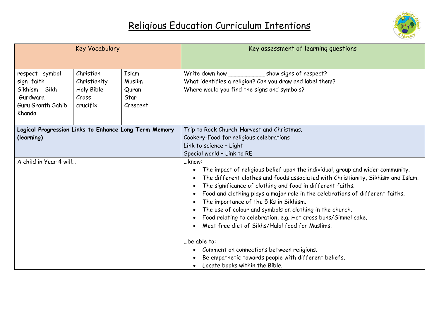

|                                                                                         | <b>Key Vocabulary</b>                                        |                                              | Key assessment of learning questions                                                                                                                                                                                                                                                                                                                                                                                                                                                                                                                                 |
|-----------------------------------------------------------------------------------------|--------------------------------------------------------------|----------------------------------------------|----------------------------------------------------------------------------------------------------------------------------------------------------------------------------------------------------------------------------------------------------------------------------------------------------------------------------------------------------------------------------------------------------------------------------------------------------------------------------------------------------------------------------------------------------------------------|
| respect symbol<br>sign faith<br>Sikhism Sikh<br>Gurdwara<br>Guru Granth Sahib<br>Khanda | Christian<br>Christianity<br>Holy Bible<br>Cross<br>crucifix | Islam<br>Muslim<br>Quran<br>Star<br>Crescent | Write down how ____________________ show signs of respect?<br>What identifies a religion? Can you draw and label them?<br>Where would you find the signs and symbols?                                                                                                                                                                                                                                                                                                                                                                                                |
| Logical Progression Links to Enhance Long Term Memory<br>(learning)                     |                                                              |                                              | Trip to Rock Church-Harvest and Christmas.<br>Cookery-Food for religious celebrations<br>Link to science - Light<br>Special world - Link to RE                                                                                                                                                                                                                                                                                                                                                                                                                       |
| A child in Year 4 will                                                                  |                                                              |                                              | know:<br>The impact of religious belief upon the individual, group and wider community.<br>The different clothes and foods associated with Christianity, Sikhism and Islam.<br>The significance of clothing and food in different faiths.<br>Food and clothing plays a major role in the celebrations of different faiths.<br>The importance of the 5 Ks in Sikhism.<br>The use of colour and symbols on clothing in the church.<br>Food relating to celebration, e.g. Hot cross buns/Simnel cake.<br>Meat free diet of Sikhs/Halal food for Muslims.<br>be able to: |
|                                                                                         |                                                              |                                              | Comment on connections between religions.<br>Be empathetic towards people with different beliefs.<br>Locate books within the Bible.                                                                                                                                                                                                                                                                                                                                                                                                                                  |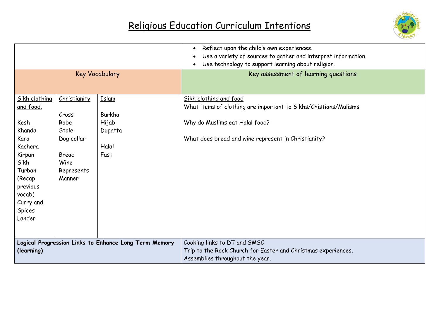

|                                                                                                                                                                     |                                                                                               |                                                             | Reflect upon the child's own experiences.<br>$\bullet$<br>Use a variety of sources to gather and interpret information.<br>Use technology to support learning about religion.      |
|---------------------------------------------------------------------------------------------------------------------------------------------------------------------|-----------------------------------------------------------------------------------------------|-------------------------------------------------------------|------------------------------------------------------------------------------------------------------------------------------------------------------------------------------------|
| <b>Key Vocabulary</b>                                                                                                                                               |                                                                                               |                                                             | Key assessment of learning questions                                                                                                                                               |
| Sikh clothing<br>and food.<br>Kesh<br>Khanda<br>Kara<br>Kachera<br>Kirpan<br>Sikh<br>Turban<br>(Recap<br>previous<br>vocab)<br>Curry and<br><b>Spices</b><br>Lander | Christianity<br>Cross<br>Robe<br>Stole<br>Dog collar<br>Bread<br>Wine<br>Represents<br>Manner | <b>Islam</b><br>Burkha<br>Hijab<br>Dupatta<br>Halal<br>Fast | Sikh clothing and food<br>What items of clothing are important to Sikhs/Chistians/Mulisms<br>Why do Muslims eat Halal food?<br>What does bread and wine represent in Christianity? |
| (learning)                                                                                                                                                          |                                                                                               | Logical Progression Links to Enhance Long Term Memory       | Cooking links to DT and SMSC<br>Trip to the Rock Church for Easter and Christmas experiences.<br>Assemblies throughout the year.                                                   |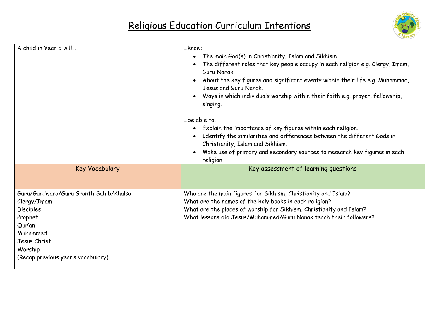

| A child in Year 5 will                                                                                                                                                      | know:<br>The main God(s) in Christianity, Islam and Sikhism.<br>$\bullet$<br>The different roles that key people occupy in each religion e.g. Clergy, Imam,<br>Guru Nanak.<br>About the key figures and significant events within their life e.g. Muhammad,<br>$\bullet$<br>Jesus and Guru Nanak.<br>Ways in which individuals worship within their faith e.g. prayer, fellowship,<br>singing.<br>be able to:<br>Explain the importance of key figures within each religion.<br>Identify the similarities and differences between the different Gods in<br>Christianity, Islam and Sikhism.<br>Make use of primary and secondary sources to research key figures in each<br>religion. |  |
|-----------------------------------------------------------------------------------------------------------------------------------------------------------------------------|---------------------------------------------------------------------------------------------------------------------------------------------------------------------------------------------------------------------------------------------------------------------------------------------------------------------------------------------------------------------------------------------------------------------------------------------------------------------------------------------------------------------------------------------------------------------------------------------------------------------------------------------------------------------------------------|--|
| <b>Key Vocabulary</b>                                                                                                                                                       | Key assessment of learning questions                                                                                                                                                                                                                                                                                                                                                                                                                                                                                                                                                                                                                                                  |  |
| Guru/Gurdwara/Guru Granth Sahib/Khalsa<br>Clergy/Imam<br><b>Disciples</b><br>Prophet<br>Qur'an<br>Muhammed<br>Jesus Christ<br>Worship<br>(Recap previous year's vocabulary) | Who are the main figures for Sikhism, Christianity and Islam?<br>What are the names of the holy books in each religion?<br>What are the places of worship for Sikhism, Christianity and Islam?<br>What lessons did Jesus/Muhammed/Guru Nanak teach their followers?                                                                                                                                                                                                                                                                                                                                                                                                                   |  |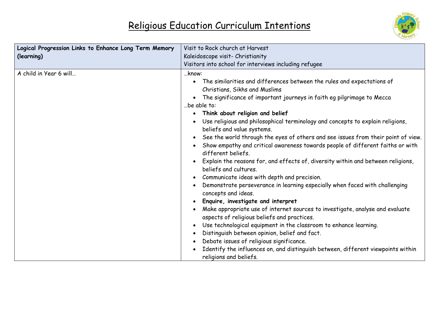

| Logical Progression Links to Enhance Long Term Memory | Visit to Rock church at Harvest                                                                                        |  |
|-------------------------------------------------------|------------------------------------------------------------------------------------------------------------------------|--|
| (learning)                                            | Kaleidoscope visit- Christianity                                                                                       |  |
|                                                       | Visitors into school for interviews including refugee                                                                  |  |
| A child in Year 6 will                                | know:                                                                                                                  |  |
|                                                       | The similarities and differences between the rules and expectations of<br>$\bullet$                                    |  |
|                                                       | Christians, Sikhs and Muslims                                                                                          |  |
|                                                       | The significance of important journeys in faith eg pilgrimage to Mecca<br>$\bullet$                                    |  |
|                                                       | be able to:                                                                                                            |  |
|                                                       | Think about religion and belief<br>$\bullet$                                                                           |  |
|                                                       | Use religious and philosophical terminology and concepts to explain religions,<br>beliefs and value systems.           |  |
|                                                       | See the world through the eyes of others and see issues from their point of view.<br>$\bullet$                         |  |
|                                                       | Show empathy and critical awareness towards people of different faiths or with                                         |  |
|                                                       | different beliefs.                                                                                                     |  |
|                                                       | Explain the reasons for, and effects of, diversity within and between religions,<br>$\bullet$<br>beliefs and cultures. |  |
|                                                       | Communicate ideas with depth and precision.<br>$\bullet$                                                               |  |
|                                                       | Demonstrate perseverance in learning especially when faced with challenging<br>$\bullet$<br>concepts and ideas.        |  |
|                                                       | Enquire, investigate and interpret<br>$\bullet$                                                                        |  |
|                                                       | Make appropriate use of internet sources to investigate, analyse and evaluate                                          |  |
|                                                       | aspects of religious beliefs and practices.                                                                            |  |
|                                                       | Use technological equipment in the classroom to enhance learning.<br>$\bullet$                                         |  |
|                                                       | Distinguish between opinion, belief and fact.<br>٠                                                                     |  |
|                                                       | Debate issues of religious significance.<br>$\bullet$                                                                  |  |
|                                                       | Identify the influences on, and distinguish between, different viewpoints within                                       |  |
|                                                       | religions and beliefs.                                                                                                 |  |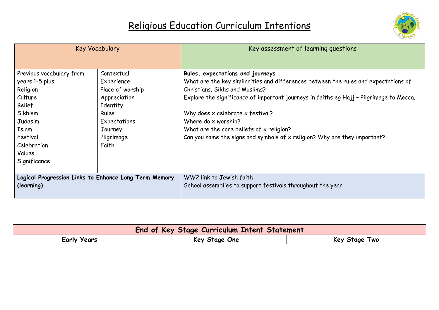

| <b>Key Vocabulary</b>                                 |                  | Key assessment of learning questions                                                    |
|-------------------------------------------------------|------------------|-----------------------------------------------------------------------------------------|
|                                                       |                  |                                                                                         |
| Previous vocabulary from                              | Contextual       | Rules, expectations and journeys                                                        |
| years 1-5 plus:                                       | Experience       | What are the key similarities and differences between the rules and expectations of     |
| Religion                                              | Place of worship | Christians, Sikhs and Muslims?                                                          |
| Culture                                               | Appreciation     | Explore the significance of important journeys in faiths eg Hajj - Pilgrimage to Mecca. |
| <b>Belief</b>                                         | Identity         |                                                                                         |
| Sikhism                                               | Rules            | Why does x celebrate x festival?                                                        |
| Judasim                                               | Expectations     | Where do x worship?                                                                     |
| Islam                                                 | Journey          | What are the core beliefs of x religion?                                                |
| Festival                                              | Pilgrimage       | Can you name the signs and symbols of x religion? Why are they important?               |
| Celebration                                           | Faith            |                                                                                         |
| Values                                                |                  |                                                                                         |
| Significance                                          |                  |                                                                                         |
|                                                       |                  |                                                                                         |
| Logical Progression Links to Enhance Long Term Memory |                  | WW2 link to Jewish faith                                                                |
| (learning)                                            |                  | School assemblies to support festivals throughout the year                              |
|                                                       |                  |                                                                                         |

| <b>End of Key Stage Curriculum Intent Statement</b> |               |                  |  |
|-----------------------------------------------------|---------------|------------------|--|
| Early Years                                         | Key Stage One | Two<br>Key Stage |  |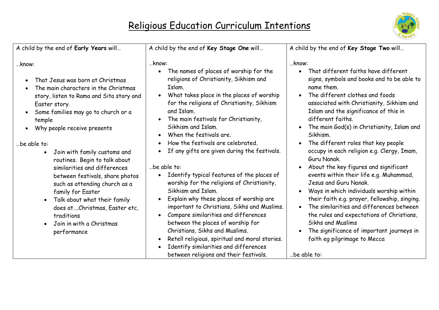

| A child by the end of Early Years will                                                                                                                                                                                                                                                                                                                                                                                                                                                                                                                                                        | A child by the end of Key Stage One will                                                                                                                                                                                                                                                                                                                                                                                                                                                                                                                                                                                                                                                                                                                                                                                                                                                            | A child by the end of Key Stage Two will                                                                                                                                                                                                                                                                                                                                                                                                                                                                                                                                                                                                                                                                                                                                                                                                  |
|-----------------------------------------------------------------------------------------------------------------------------------------------------------------------------------------------------------------------------------------------------------------------------------------------------------------------------------------------------------------------------------------------------------------------------------------------------------------------------------------------------------------------------------------------------------------------------------------------|-----------------------------------------------------------------------------------------------------------------------------------------------------------------------------------------------------------------------------------------------------------------------------------------------------------------------------------------------------------------------------------------------------------------------------------------------------------------------------------------------------------------------------------------------------------------------------------------------------------------------------------------------------------------------------------------------------------------------------------------------------------------------------------------------------------------------------------------------------------------------------------------------------|-------------------------------------------------------------------------------------------------------------------------------------------------------------------------------------------------------------------------------------------------------------------------------------------------------------------------------------------------------------------------------------------------------------------------------------------------------------------------------------------------------------------------------------------------------------------------------------------------------------------------------------------------------------------------------------------------------------------------------------------------------------------------------------------------------------------------------------------|
| know:<br>That Jesus was born at Christmas<br>The main characters in the Christmas<br>story, listen to Rama and Sita story and<br>Easter story.<br>Some families may go to church or a<br>temple<br>Why people receive presents<br>be able to:<br>Join with family customs and<br>$\bullet$<br>routines. Begin to talk about<br>similarities and differences<br>between festivals, share photos<br>such as attending church as a<br>family for Easter<br>Talk about what their family<br>$\bullet$<br>does at  Christmas, Easter etc,<br>traditions<br>Join in with a Christmas<br>performance | know:<br>The names of places of worship for the<br>$\bullet$<br>religions of Christianity, Sikhism and<br>Islam.<br>What takes place in the places of worship<br>for the religions of Christianity, Sikhism<br>and Islam.<br>The main festivals for Christianity,<br>Sikhism and Islam.<br>When the festivals are.<br>How the festivals are celebrated.<br>If any gifts are given during the festivals.<br>be able to:<br>Identify typical features of the places of<br>$\bullet$<br>worship for the religions of Christianity,<br>Sikhism and Islam.<br>Explain why these places of worship are<br>important to Christians, Sikhs and Muslims.<br>Compare similarities and differences<br>between the places of worship for<br>Christians, Sikhs and Muslims.<br>Retell religious, spiritual and moral stories.<br>Identify similarities and differences<br>between religions and their festivals. | know:<br>That different faiths have different<br>signs, symbols and books and to be able to<br>name them.<br>The different clothes and foods<br>associated with Christianity, Sikhism and<br>Islam and the significance of this in<br>different faiths.<br>The main God(s) in Christianity, Islam and<br>Sikhism.<br>The different roles that key people<br>occupy in each religion e.g. Clergy, Imam,<br>Guru Nanak.<br>About the key figures and significant<br>events within their life e.g. Muhammad,<br>Jesus and Guru Nanak.<br>Ways in which individuals worship within<br>their faith e.g. prayer, fellowship, singing.<br>The similarities and differences between<br>the rules and expectations of Christians,<br>Sikhs and Muslims<br>The significance of important journeys in<br>faith eg pilgrimage to Mecca<br>be able to: |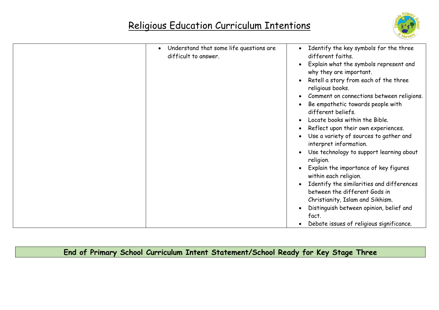

|  | Understand that some life questions are<br>$\bullet$<br>difficult to answer. | Identify the key symbols for the three<br>different faiths.                |
|--|------------------------------------------------------------------------------|----------------------------------------------------------------------------|
|  |                                                                              | Explain what the symbols represent and<br>why they are important.          |
|  |                                                                              | Retell a story from each of the three<br>religious books.                  |
|  |                                                                              | Comment on connections between religions.                                  |
|  |                                                                              | Be empathetic towards people with<br>different beliefs.                    |
|  |                                                                              | Locate books within the Bible.                                             |
|  |                                                                              | Reflect upon their own experiences.                                        |
|  |                                                                              | Use a variety of sources to gather and<br>interpret information.           |
|  |                                                                              | Use technology to support learning about<br>religion.                      |
|  |                                                                              | Explain the importance of key figures<br>within each religion.             |
|  |                                                                              | Identify the similarities and differences<br>between the different Gods in |
|  |                                                                              | Christianity, Islam and Sikhism.                                           |
|  |                                                                              | Distinguish between opinion, belief and<br>fact.                           |
|  |                                                                              | Debate issues of religious significance.                                   |

**End of Primary School Curriculum Intent Statement/School Ready for Key Stage Three**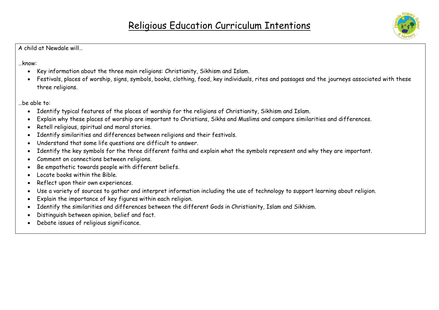

…know:

- Key information about the three main religions: Christianity, Sikhism and Islam.
- Festivals, places of worship, signs, symbols, books, clothing, food, key individuals, rites and passages and the journeys associated with these three religions.

…be able to:

- Identify typical features of the places of worship for the religions of Christianity, Sikhism and Islam.
- Explain why these places of worship are important to Christians, Sikhs and Muslims and compare similarities and differences.
- Retell religious, spiritual and moral stories.
- Identify similarities and differences between religions and their festivals.
- Understand that some life questions are difficult to answer.
- Identify the key symbols for the three different faiths and explain what the symbols represent and why they are important.
- Comment on connections between religions.
- Be empathetic towards people with different beliefs.
- Locate books within the Bible.
- Reflect upon their own experiences.
- Use a variety of sources to gather and interpret information including the use of technology to support learning about religion.
- Explain the importance of key figures within each religion.
- Identify the similarities and differences between the different Gods in Christianity, Islam and Sikhism.
- Distinguish between opinion, belief and fact.
- Debate issues of religious significance.